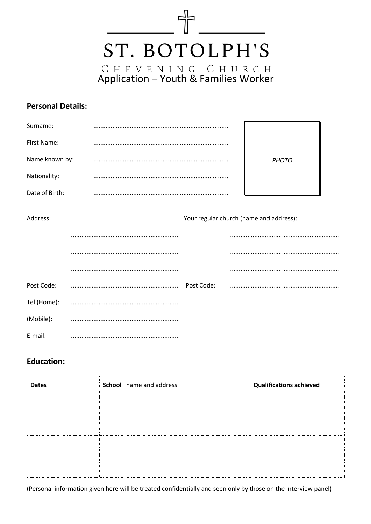

#### **Personal Details:**

| Surname:       |                                         |       |  |
|----------------|-----------------------------------------|-------|--|
| First Name:    |                                         |       |  |
| Name known by: |                                         | PHOTO |  |
| Nationality:   |                                         |       |  |
| Date of Birth: |                                         |       |  |
| Address:       | Your regular church (name and address): |       |  |
|                |                                         |       |  |
|                |                                         |       |  |
|                |                                         |       |  |

| Post Code: | Post Code: |  |
|------------|------------|--|
|            |            |  |
| (Mobile):  |            |  |
| E-mail:    |            |  |

#### **Education:**

| School name and address | <b>Qualifications achieved</b> |
|-------------------------|--------------------------------|
|                         |                                |
|                         |                                |
|                         |                                |
|                         |                                |
|                         |                                |
|                         |                                |
|                         |                                |

(Personal information given here will be treated confidentially and seen only by those on the interview panel)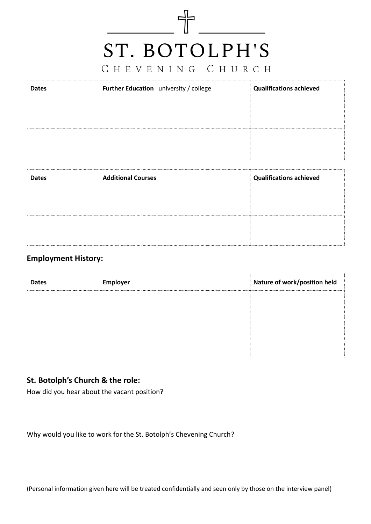# $\begin{picture}(100,10) \put(0,0){\line(1,0){10}} \put(10,0){\line(1,0){10}} \put(10,0){\line(1,0){10}} \put(10,0){\line(1,0){10}} \put(10,0){\line(1,0){10}} \put(10,0){\line(1,0){10}} \put(10,0){\line(1,0){10}} \put(10,0){\line(1,0){10}} \put(10,0){\line(1,0){10}} \put(10,0){\line(1,0){10}} \put(10,0){\line(1,0){10}} \put(10,0){\line($ ST. BOTOLPH'S

### CHEVENING CHURCH

| <b>Dates</b> | Further Education university / college | <b>Qualifications achieved</b> |
|--------------|----------------------------------------|--------------------------------|
|              |                                        |                                |
|              |                                        |                                |
|              |                                        |                                |
|              |                                        |                                |

| <b>Dates</b> | <b>Additional Courses</b> | <b>Qualifications achieved</b> |
|--------------|---------------------------|--------------------------------|
|              |                           |                                |
|              |                           |                                |
|              |                           |                                |
|              |                           |                                |

#### **Employment History:**

| <b>Dates</b> | <b>Employer</b> | Nature of work/position held |
|--------------|-----------------|------------------------------|
|              |                 |                              |
|              |                 |                              |
|              |                 |                              |
|              |                 |                              |

#### **St. Botolph's Church & the role:**

How did you hear about the vacant position?

Why would you like to work for the St. Botolph's Chevening Church?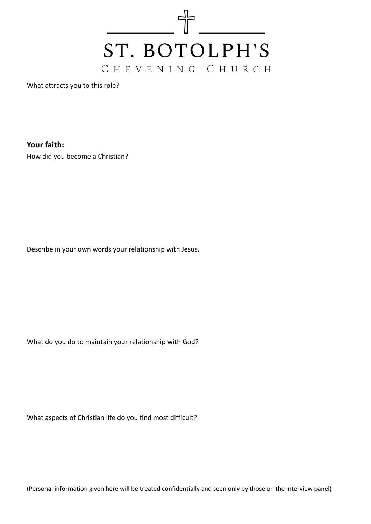

What attracts you to this role?

**Your faith:**

How did you become a Christian?

Describe in your own words your relationship with Jesus.

What do you do to maintain your relationship with God?

What aspects of Christian life do you find most difficult?

(Personal information given here will be treated confidentially and seen only by those on the interview panel)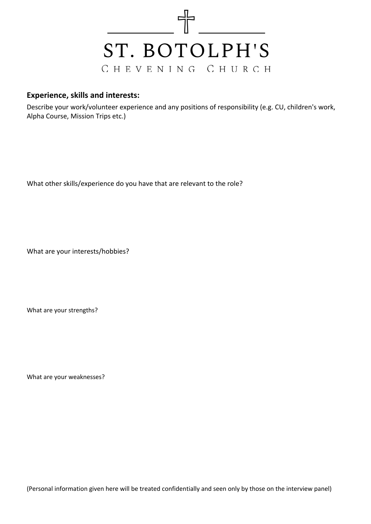

#### **Experience, skills and interests:**

Describe your work/volunteer experience and any positions of responsibility (e.g. CU, children's work, Alpha Course, Mission Trips etc.)

What other skills/experience do you have that are relevant to the role?

What are your interests/hobbies?

What are your strengths?

What are your weaknesses?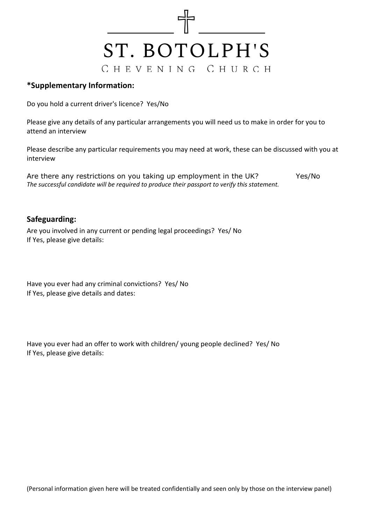

#### **\*Supplementary Information:**

Do you hold a current driver's licence? Yes/No

Please give any details of any particular arrangements you will need us to make in order for you to attend an interview

Please describe any particular requirements you may need at work, these can be discussed with you at interview

Are there any restrictions on you taking up employment in the UK? Yes/No *The successful candidate will be required to produce their passport to verify this statement.*

#### **Safeguarding:**

Are you involved in any current or pending legal proceedings? Yes/ No If Yes, please give details:

Have you ever had any criminal convictions? Yes/ No If Yes, please give details and dates:

Have you ever had an offer to work with children/ young people declined? Yes/ No If Yes, please give details: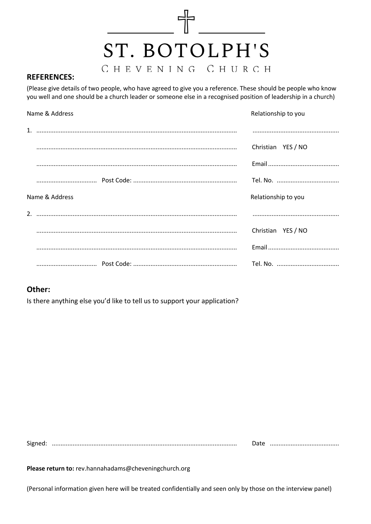## ST. BOTOLPH'S CHEVENING CHURCH

 $\frac{1}{\sqrt{2}}$ 

#### **REFERENCES:**

(Please give details of two people, who have agreed to give you a reference. These should be people who know you well and one should be a church leader or someone else in a recognised position of leadership in a church)

| Name & Address |  | Relationship to you |  |
|----------------|--|---------------------|--|
|                |  |                     |  |
|                |  | Christian YES / NO  |  |
|                |  |                     |  |
|                |  |                     |  |
| Name & Address |  | Relationship to you |  |
|                |  |                     |  |
|                |  | Christian YES / NO  |  |
|                |  |                     |  |
|                |  |                     |  |

#### Other:

Is there anything else you'd like to tell us to support your application?

Please return to: rev.hannahadams@cheveningchurch.org

(Personal information given here will be treated confidentially and seen only by those on the interview panel)